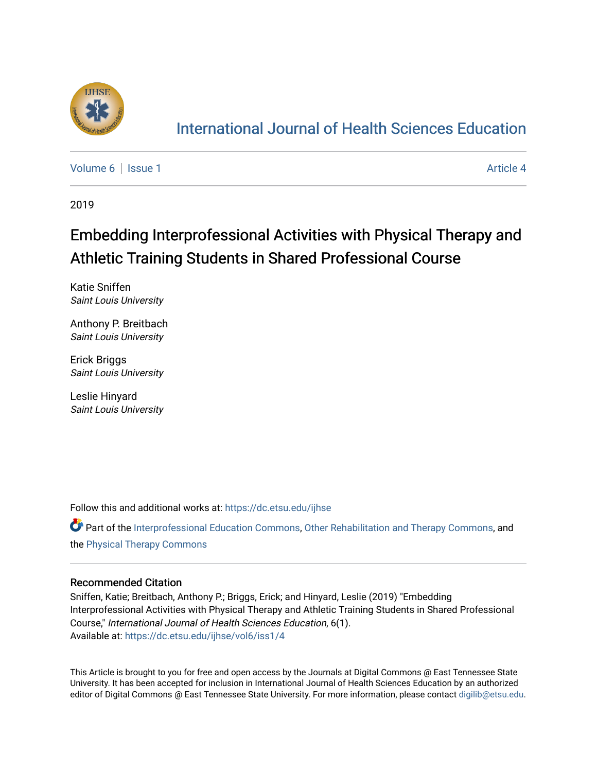

## [International Journal of Health Sciences Education](https://dc.etsu.edu/ijhse)

[Volume 6](https://dc.etsu.edu/ijhse/vol6) | [Issue 1](https://dc.etsu.edu/ijhse/vol6/iss1) Article 4

2019

# Embedding Interprofessional Activities with Physical Therapy and Athletic Training Students in Shared Professional Course

Katie Sniffen Saint Louis University

Anthony P. Breitbach Saint Louis University

Erick Briggs Saint Louis University

Leslie Hinyard Saint Louis University

Follow this and additional works at: [https://dc.etsu.edu/ijhse](https://dc.etsu.edu/ijhse?utm_source=dc.etsu.edu%2Fijhse%2Fvol6%2Fiss1%2F4&utm_medium=PDF&utm_campaign=PDFCoverPages) 

**P** Part of the [Interprofessional Education Commons,](http://network.bepress.com/hgg/discipline/1372?utm_source=dc.etsu.edu%2Fijhse%2Fvol6%2Fiss1%2F4&utm_medium=PDF&utm_campaign=PDFCoverPages) [Other Rehabilitation and Therapy Commons,](http://network.bepress.com/hgg/discipline/758?utm_source=dc.etsu.edu%2Fijhse%2Fvol6%2Fiss1%2F4&utm_medium=PDF&utm_campaign=PDFCoverPages) and the [Physical Therapy Commons](http://network.bepress.com/hgg/discipline/754?utm_source=dc.etsu.edu%2Fijhse%2Fvol6%2Fiss1%2F4&utm_medium=PDF&utm_campaign=PDFCoverPages) 

#### Recommended Citation

Sniffen, Katie; Breitbach, Anthony P.; Briggs, Erick; and Hinyard, Leslie (2019) "Embedding Interprofessional Activities with Physical Therapy and Athletic Training Students in Shared Professional Course," International Journal of Health Sciences Education, 6(1). Available at: [https://dc.etsu.edu/ijhse/vol6/iss1/4](https://dc.etsu.edu/ijhse/vol6/iss1/4?utm_source=dc.etsu.edu%2Fijhse%2Fvol6%2Fiss1%2F4&utm_medium=PDF&utm_campaign=PDFCoverPages)

This Article is brought to you for free and open access by the Journals at Digital Commons @ East Tennessee State University. It has been accepted for inclusion in International Journal of Health Sciences Education by an authorized editor of Digital Commons @ East Tennessee State University. For more information, please contact [digilib@etsu.edu](mailto:digilib@etsu.edu).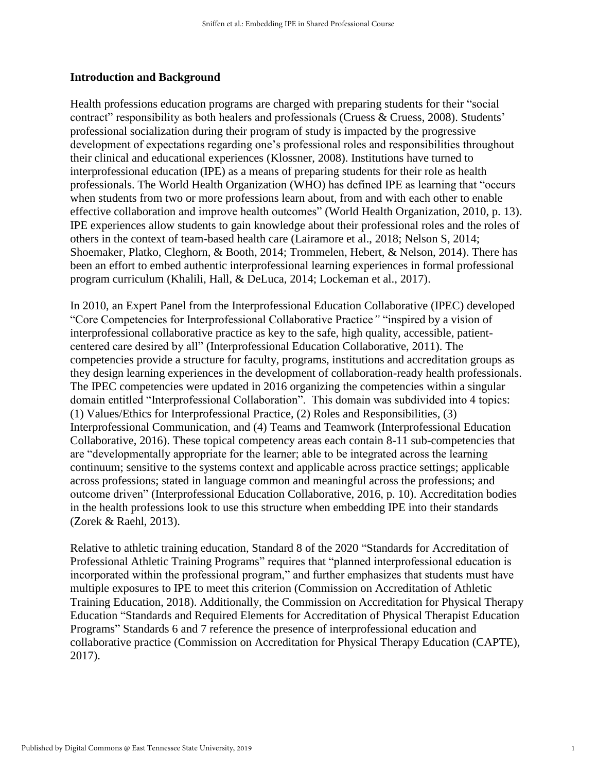#### **Introduction and Background**

Health professions education programs are charged with preparing students for their "social contract" responsibility as both healers and professionals (Cruess & Cruess, 2008). Students' professional socialization during their program of study is impacted by the progressive development of expectations regarding one's professional roles and responsibilities throughout their clinical and educational experiences (Klossner, 2008). Institutions have turned to interprofessional education (IPE) as a means of preparing students for their role as health professionals. The World Health Organization (WHO) has defined IPE as learning that "occurs when students from two or more professions learn about, from and with each other to enable effective collaboration and improve health outcomes" (World Health Organization, 2010, p. 13). IPE experiences allow students to gain knowledge about their professional roles and the roles of others in the context of team-based health care (Lairamore et al., 2018; Nelson S, 2014; Shoemaker, Platko, Cleghorn, & Booth, 2014; Trommelen, Hebert, & Nelson, 2014). There has been an effort to embed authentic interprofessional learning experiences in formal professional program curriculum (Khalili, Hall, & DeLuca, 2014; Lockeman et al., 2017).

In 2010, an Expert Panel from the Interprofessional Education Collaborative (IPEC) developed "Core Competencies for Interprofessional Collaborative Practice*"* "inspired by a vision of interprofessional collaborative practice as key to the safe, high quality, accessible, patientcentered care desired by all" (Interprofessional Education Collaborative, 2011). The competencies provide a structure for faculty, programs, institutions and accreditation groups as they design learning experiences in the development of collaboration-ready health professionals. The IPEC competencies were updated in 2016 organizing the competencies within a singular domain entitled "Interprofessional Collaboration". This domain was subdivided into 4 topics: (1) Values/Ethics for Interprofessional Practice, (2) Roles and Responsibilities, (3) Interprofessional Communication, and (4) Teams and Teamwork (Interprofessional Education Collaborative, 2016). These topical competency areas each contain 8-11 sub-competencies that are "developmentally appropriate for the learner; able to be integrated across the learning continuum; sensitive to the systems context and applicable across practice settings; applicable across professions; stated in language common and meaningful across the professions; and outcome driven" (Interprofessional Education Collaborative, 2016, p. 10). Accreditation bodies in the health professions look to use this structure when embedding IPE into their standards (Zorek & Raehl, 2013).

Relative to athletic training education, Standard 8 of the 2020 "Standards for Accreditation of Professional Athletic Training Programs" requires that "planned interprofessional education is incorporated within the professional program," and further emphasizes that students must have multiple exposures to IPE to meet this criterion (Commission on Accreditation of Athletic Training Education, 2018). Additionally, the Commission on Accreditation for Physical Therapy Education "Standards and Required Elements for Accreditation of Physical Therapist Education Programs" Standards 6 and 7 reference the presence of interprofessional education and collaborative practice (Commission on Accreditation for Physical Therapy Education (CAPTE), 2017).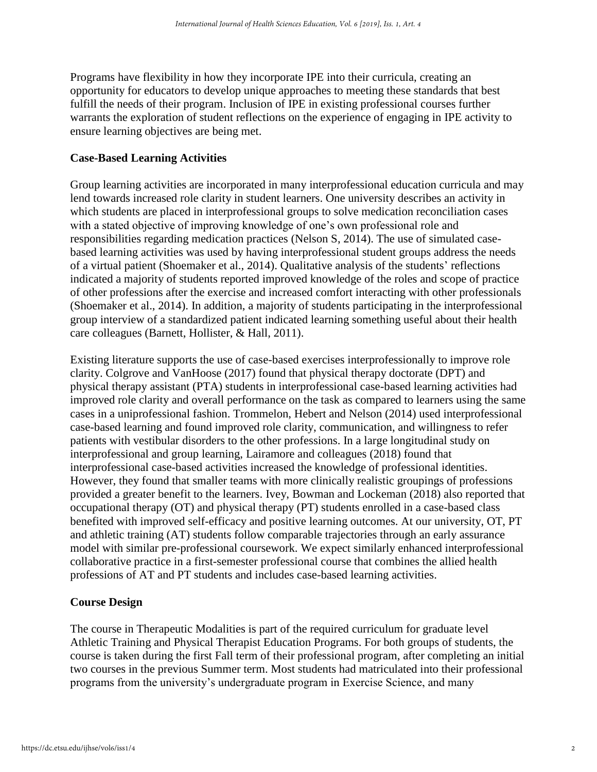Programs have flexibility in how they incorporate IPE into their curricula, creating an opportunity for educators to develop unique approaches to meeting these standards that best fulfill the needs of their program. Inclusion of IPE in existing professional courses further warrants the exploration of student reflections on the experience of engaging in IPE activity to ensure learning objectives are being met.

## **Case-Based Learning Activities**

Group learning activities are incorporated in many interprofessional education curricula and may lend towards increased role clarity in student learners. One university describes an activity in which students are placed in interprofessional groups to solve medication reconciliation cases with a stated objective of improving knowledge of one's own professional role and responsibilities regarding medication practices (Nelson S, 2014). The use of simulated casebased learning activities was used by having interprofessional student groups address the needs of a virtual patient (Shoemaker et al., 2014). Qualitative analysis of the students' reflections indicated a majority of students reported improved knowledge of the roles and scope of practice of other professions after the exercise and increased comfort interacting with other professionals (Shoemaker et al., 2014). In addition, a majority of students participating in the interprofessional group interview of a standardized patient indicated learning something useful about their health care colleagues (Barnett, Hollister, & Hall, 2011).

Existing literature supports the use of case-based exercises interprofessionally to improve role clarity. Colgrove and VanHoose (2017) found that physical therapy doctorate (DPT) and physical therapy assistant (PTA) students in interprofessional case-based learning activities had improved role clarity and overall performance on the task as compared to learners using the same cases in a uniprofessional fashion. Trommelon, Hebert and Nelson (2014) used interprofessional case-based learning and found improved role clarity, communication, and willingness to refer patients with vestibular disorders to the other professions. In a large longitudinal study on interprofessional and group learning, Lairamore and colleagues (2018) found that interprofessional case-based activities increased the knowledge of professional identities. However, they found that smaller teams with more clinically realistic groupings of professions provided a greater benefit to the learners. Ivey, Bowman and Lockeman (2018) also reported that occupational therapy (OT) and physical therapy (PT) students enrolled in a case-based class benefited with improved self-efficacy and positive learning outcomes. At our university, OT, PT and athletic training (AT) students follow comparable trajectories through an early assurance model with similar pre-professional coursework. We expect similarly enhanced interprofessional collaborative practice in a first-semester professional course that combines the allied health professions of AT and PT students and includes case-based learning activities.

## **Course Design**

The course in Therapeutic Modalities is part of the required curriculum for graduate level Athletic Training and Physical Therapist Education Programs. For both groups of students, the course is taken during the first Fall term of their professional program, after completing an initial two courses in the previous Summer term. Most students had matriculated into their professional programs from the university's undergraduate program in Exercise Science, and many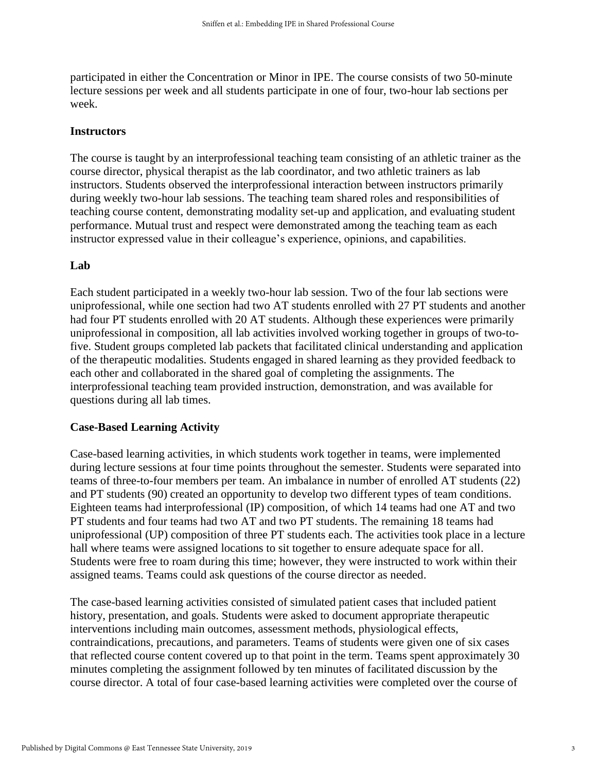participated in either the Concentration or Minor in IPE. The course consists of two 50-minute lecture sessions per week and all students participate in one of four, two-hour lab sections per week.

## **Instructors**

The course is taught by an interprofessional teaching team consisting of an athletic trainer as the course director, physical therapist as the lab coordinator, and two athletic trainers as lab instructors. Students observed the interprofessional interaction between instructors primarily during weekly two-hour lab sessions. The teaching team shared roles and responsibilities of teaching course content, demonstrating modality set-up and application, and evaluating student performance. Mutual trust and respect were demonstrated among the teaching team as each instructor expressed value in their colleague's experience, opinions, and capabilities.

## **Lab**

Each student participated in a weekly two-hour lab session. Two of the four lab sections were uniprofessional, while one section had two AT students enrolled with 27 PT students and another had four PT students enrolled with 20 AT students. Although these experiences were primarily uniprofessional in composition, all lab activities involved working together in groups of two-tofive. Student groups completed lab packets that facilitated clinical understanding and application of the therapeutic modalities. Students engaged in shared learning as they provided feedback to each other and collaborated in the shared goal of completing the assignments. The interprofessional teaching team provided instruction, demonstration, and was available for questions during all lab times.

## **Case-Based Learning Activity**

Case-based learning activities, in which students work together in teams, were implemented during lecture sessions at four time points throughout the semester. Students were separated into teams of three-to-four members per team. An imbalance in number of enrolled AT students (22) and PT students (90) created an opportunity to develop two different types of team conditions. Eighteen teams had interprofessional (IP) composition, of which 14 teams had one AT and two PT students and four teams had two AT and two PT students. The remaining 18 teams had uniprofessional (UP) composition of three PT students each. The activities took place in a lecture hall where teams were assigned locations to sit together to ensure adequate space for all. Students were free to roam during this time; however, they were instructed to work within their assigned teams. Teams could ask questions of the course director as needed.

The case-based learning activities consisted of simulated patient cases that included patient history, presentation, and goals. Students were asked to document appropriate therapeutic interventions including main outcomes, assessment methods, physiological effects, contraindications, precautions, and parameters. Teams of students were given one of six cases that reflected course content covered up to that point in the term. Teams spent approximately 30 minutes completing the assignment followed by ten minutes of facilitated discussion by the course director. A total of four case-based learning activities were completed over the course of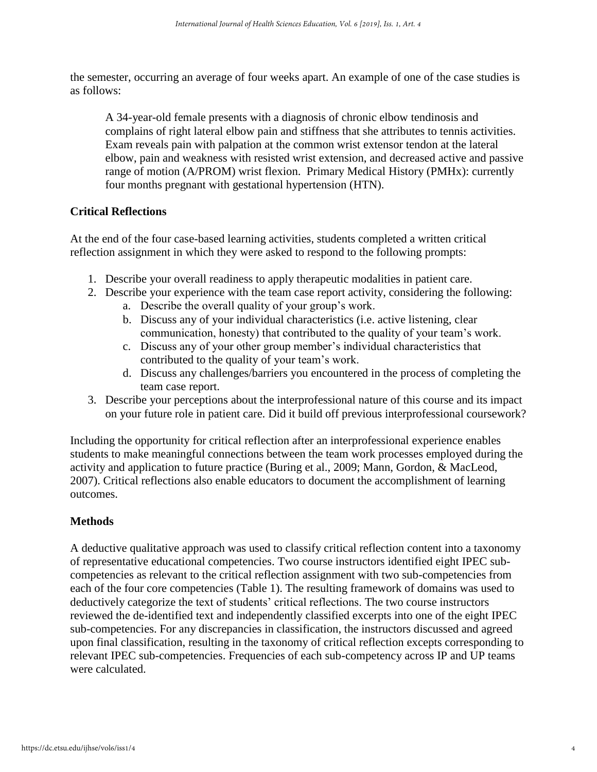the semester, occurring an average of four weeks apart. An example of one of the case studies is as follows:

A 34-year-old female presents with a diagnosis of chronic elbow tendinosis and complains of right lateral elbow pain and stiffness that she attributes to tennis activities. Exam reveals pain with palpation at the common wrist extensor tendon at the lateral elbow, pain and weakness with resisted wrist extension, and decreased active and passive range of motion (A/PROM) wrist flexion. Primary Medical History (PMHx): currently four months pregnant with gestational hypertension (HTN).

## **Critical Reflections**

At the end of the four case-based learning activities, students completed a written critical reflection assignment in which they were asked to respond to the following prompts:

- 1. Describe your overall readiness to apply therapeutic modalities in patient care.
- 2. Describe your experience with the team case report activity, considering the following:
	- a. Describe the overall quality of your group's work.
	- b. Discuss any of your individual characteristics (i.e. active listening, clear communication, honesty) that contributed to the quality of your team's work.
	- c. Discuss any of your other group member's individual characteristics that contributed to the quality of your team's work.
	- d. Discuss any challenges/barriers you encountered in the process of completing the team case report.
- 3. Describe your perceptions about the interprofessional nature of this course and its impact on your future role in patient care. Did it build off previous interprofessional coursework?

Including the opportunity for critical reflection after an interprofessional experience enables students to make meaningful connections between the team work processes employed during the activity and application to future practice (Buring et al., 2009; Mann, Gordon, & MacLeod, 2007). Critical reflections also enable educators to document the accomplishment of learning outcomes.

## **Methods**

A deductive qualitative approach was used to classify critical reflection content into a taxonomy of representative educational competencies. Two course instructors identified eight IPEC subcompetencies as relevant to the critical reflection assignment with two sub-competencies from each of the four core competencies (Table 1). The resulting framework of domains was used to deductively categorize the text of students' critical reflections. The two course instructors reviewed the de-identified text and independently classified excerpts into one of the eight IPEC sub-competencies. For any discrepancies in classification, the instructors discussed and agreed upon final classification, resulting in the taxonomy of critical reflection excepts corresponding to relevant IPEC sub-competencies. Frequencies of each sub-competency across IP and UP teams were calculated.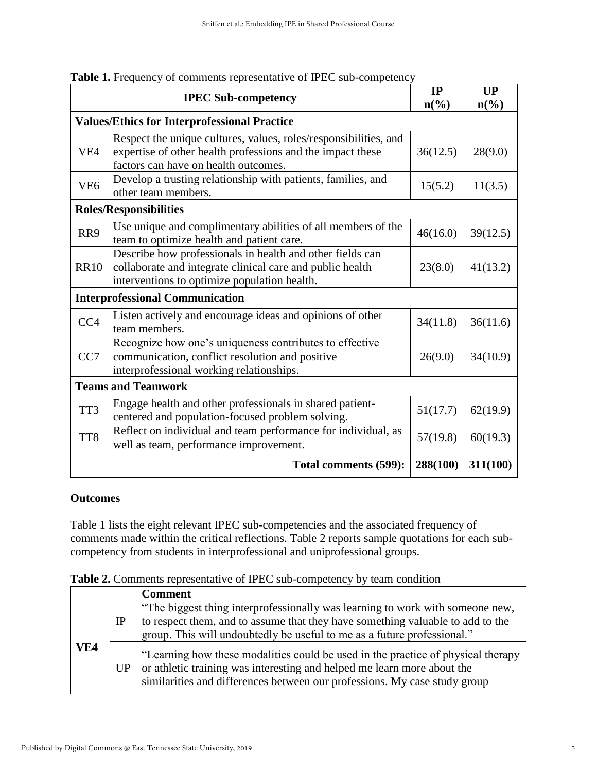|                                                     | <b>IPEC Sub-competency</b>                                                                                                                                             | IP<br>$n\left(\frac{0}{0}\right)$ | <b>UP</b><br>$n\left(\frac{0}{0}\right)$ |  |  |  |
|-----------------------------------------------------|------------------------------------------------------------------------------------------------------------------------------------------------------------------------|-----------------------------------|------------------------------------------|--|--|--|
| <b>Values/Ethics for Interprofessional Practice</b> |                                                                                                                                                                        |                                   |                                          |  |  |  |
| VE <sub>4</sub>                                     | Respect the unique cultures, values, roles/responsibilities, and<br>expertise of other health professions and the impact these<br>factors can have on health outcomes. | 36(12.5)                          | 28(9.0)                                  |  |  |  |
| VE <sub>6</sub>                                     | Develop a trusting relationship with patients, families, and<br>other team members.                                                                                    | 15(5.2)                           | 11(3.5)                                  |  |  |  |
| <b>Roles/Responsibilities</b>                       |                                                                                                                                                                        |                                   |                                          |  |  |  |
| RR9                                                 | Use unique and complimentary abilities of all members of the<br>46(16.0)<br>team to optimize health and patient care.                                                  |                                   | 39(12.5)                                 |  |  |  |
| <b>RR10</b>                                         | Describe how professionals in health and other fields can<br>collaborate and integrate clinical care and public health<br>interventions to optimize population health. | 23(8.0)                           | 41(13.2)                                 |  |  |  |
| <b>Interprofessional Communication</b>              |                                                                                                                                                                        |                                   |                                          |  |  |  |
| CC <sub>4</sub>                                     | Listen actively and encourage ideas and opinions of other<br>34(11.8)<br>team members.                                                                                 |                                   | 36(11.6)                                 |  |  |  |
| CC7                                                 | Recognize how one's uniqueness contributes to effective<br>communication, conflict resolution and positive<br>26(9.0)<br>interprofessional working relationships.      |                                   | 34(10.9)                                 |  |  |  |
| <b>Teams and Teamwork</b>                           |                                                                                                                                                                        |                                   |                                          |  |  |  |
| TT3                                                 | Engage health and other professionals in shared patient-<br>centered and population-focused problem solving.                                                           | 51(17.7)                          | 62(19.9)                                 |  |  |  |
| TT <sub>8</sub>                                     | Reflect on individual and team performance for individual, as<br>well as team, performance improvement.                                                                | 57(19.8)                          | 60(19.3)                                 |  |  |  |
| 288(100)<br>311(100)<br>Total comments (599):       |                                                                                                                                                                        |                                   |                                          |  |  |  |

Table 1. Frequency of comments representative of IPEC sub-competency

## **Outcomes**

Table 1 lists the eight relevant IPEC sub-competencies and the associated frequency of comments made within the critical reflections. Table 2 reports sample quotations for each subcompetency from students in interprofessional and uniprofessional groups.

**Table 2.** Comments representative of IPEC sub-competency by team condition

|     |             | <b>Comment</b>                                                                                                                                                                                                                             |
|-----|-------------|--------------------------------------------------------------------------------------------------------------------------------------------------------------------------------------------------------------------------------------------|
| VE4 | $_{\rm IP}$ | "The biggest thing interprofessionally was learning to work with someone new,<br>to respect them, and to assume that they have something valuable to add to the<br>group. This will undoubtedly be useful to me as a future professional." |
|     | UP          | "Learning how these modalities could be used in the practice of physical therapy<br>or athletic training was interesting and helped me learn more about the<br>similarities and differences between our professions. My case study group   |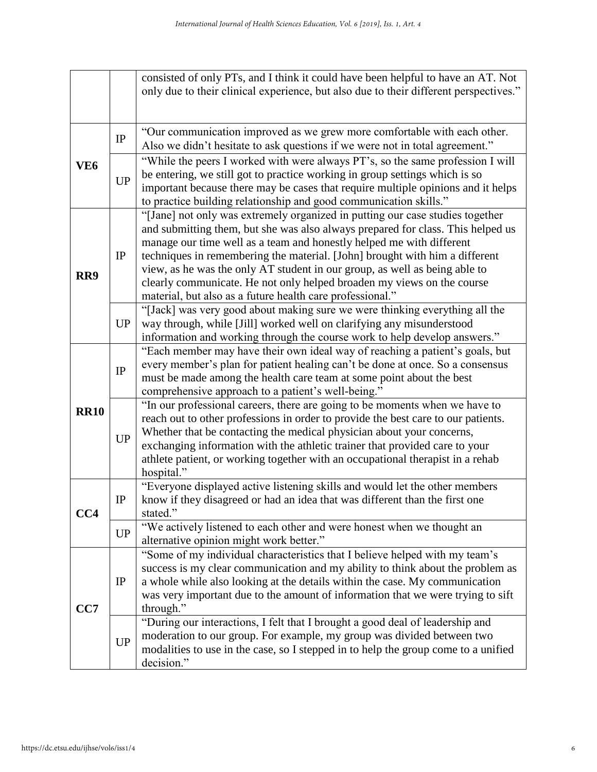|                 |           | consisted of only PTs, and I think it could have been helpful to have an AT. Not                                                                              |
|-----------------|-----------|---------------------------------------------------------------------------------------------------------------------------------------------------------------|
|                 |           | only due to their clinical experience, but also due to their different perspectives."                                                                         |
|                 |           |                                                                                                                                                               |
| VE <sub>6</sub> | $\rm IP$  | "Our communication improved as we grew more comfortable with each other.                                                                                      |
|                 |           | Also we didn't hesitate to ask questions if we were not in total agreement."                                                                                  |
|                 | <b>UP</b> | "While the peers I worked with were always PT's, so the same profession I will<br>be entering, we still got to practice working in group settings which is so |
|                 |           | important because there may be cases that require multiple opinions and it helps                                                                              |
|                 |           | to practice building relationship and good communication skills."                                                                                             |
|                 |           | "[Jane] not only was extremely organized in putting our case studies together                                                                                 |
|                 |           | and submitting them, but she was also always prepared for class. This helped us<br>manage our time well as a team and honestly helped me with different       |
|                 | IP        | techniques in remembering the material. [John] brought with him a different                                                                                   |
|                 |           | view, as he was the only AT student in our group, as well as being able to                                                                                    |
| RR9             |           | clearly communicate. He not only helped broaden my views on the course                                                                                        |
|                 |           | material, but also as a future health care professional."                                                                                                     |
|                 | <b>UP</b> | "[Jack] was very good about making sure we were thinking everything all the                                                                                   |
|                 |           | way through, while [Jill] worked well on clarifying any misunderstood                                                                                         |
|                 |           | information and working through the course work to help develop answers."                                                                                     |
|                 | $\rm IP$  | "Each member may have their own ideal way of reaching a patient's goals, but                                                                                  |
|                 |           | every member's plan for patient healing can't be done at once. So a consensus                                                                                 |
|                 |           | must be made among the health care team at some point about the best<br>comprehensive approach to a patient's well-being."                                    |
|                 |           | "In our professional careers, there are going to be moments when we have to                                                                                   |
| <b>RR10</b>     | <b>UP</b> | reach out to other professions in order to provide the best care to our patients.                                                                             |
|                 |           | Whether that be contacting the medical physician about your concerns,                                                                                         |
|                 |           | exchanging information with the athletic trainer that provided care to your                                                                                   |
|                 |           | athlete patient, or working together with an occupational therapist in a rehab                                                                                |
|                 |           | hospital."                                                                                                                                                    |
|                 | IP        | "Everyone displayed active listening skills and would let the other members                                                                                   |
|                 |           | know if they disagreed or had an idea that was different than the first one                                                                                   |
| CC4             |           | stated."                                                                                                                                                      |
|                 | <b>UP</b> | "We actively listened to each other and were honest when we thought an<br>alternative opinion might work better."                                             |
|                 |           | "Some of my individual characteristics that I believe helped with my team's                                                                                   |
|                 | IP        | success is my clear communication and my ability to think about the problem as                                                                                |
|                 |           | a whole while also looking at the details within the case. My communication                                                                                   |
| CC7             |           | was very important due to the amount of information that we were trying to sift                                                                               |
|                 |           | through."                                                                                                                                                     |
|                 | <b>UP</b> | "During our interactions, I felt that I brought a good deal of leadership and                                                                                 |
|                 |           | moderation to our group. For example, my group was divided between two                                                                                        |
|                 |           | modalities to use in the case, so I stepped in to help the group come to a unified                                                                            |
|                 |           | decision."                                                                                                                                                    |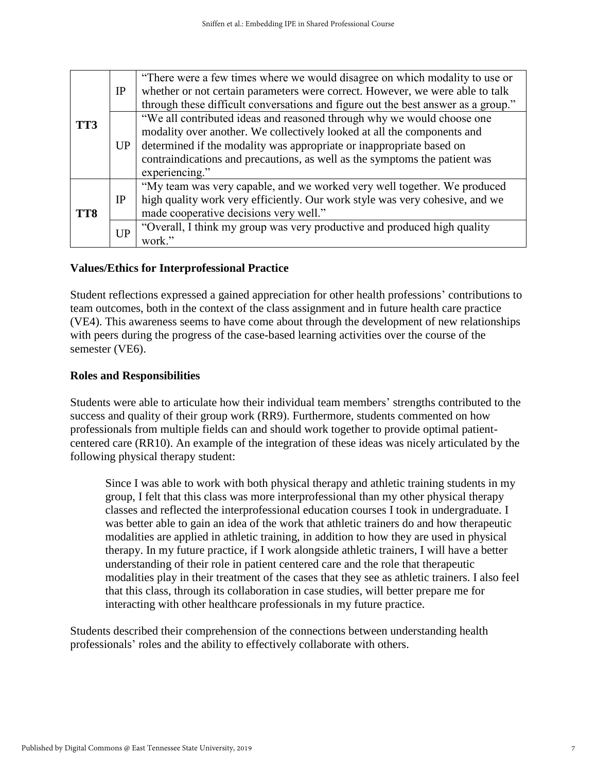| TT3 | IP        | "There were a few times where we would disagree on which modality to use or<br>whether or not certain parameters were correct. However, we were able to talk<br>through these difficult conversations and figure out the best answer as a group."                                                                         |
|-----|-----------|---------------------------------------------------------------------------------------------------------------------------------------------------------------------------------------------------------------------------------------------------------------------------------------------------------------------------|
|     | UP        | "We all contributed ideas and reasoned through why we would choose one<br>modality over another. We collectively looked at all the components and<br>determined if the modality was appropriate or inappropriate based on<br>contraindications and precautions, as well as the symptoms the patient was<br>experiencing." |
| TT8 | IP        | "My team was very capable, and we worked very well together. We produced<br>high quality work very efficiently. Our work style was very cohesive, and we<br>made cooperative decisions very well."                                                                                                                        |
|     | <b>UP</b> | "Overall, I think my group was very productive and produced high quality<br>work."                                                                                                                                                                                                                                        |

## **Values/Ethics for Interprofessional Practice**

Student reflections expressed a gained appreciation for other health professions' contributions to team outcomes, both in the context of the class assignment and in future health care practice (VE4). This awareness seems to have come about through the development of new relationships with peers during the progress of the case-based learning activities over the course of the semester (VE6).

#### **Roles and Responsibilities**

Students were able to articulate how their individual team members' strengths contributed to the success and quality of their group work (RR9). Furthermore, students commented on how professionals from multiple fields can and should work together to provide optimal patientcentered care (RR10). An example of the integration of these ideas was nicely articulated by the following physical therapy student:

Since I was able to work with both physical therapy and athletic training students in my group, I felt that this class was more interprofessional than my other physical therapy classes and reflected the interprofessional education courses I took in undergraduate. I was better able to gain an idea of the work that athletic trainers do and how therapeutic modalities are applied in athletic training, in addition to how they are used in physical therapy. In my future practice, if I work alongside athletic trainers, I will have a better understanding of their role in patient centered care and the role that therapeutic modalities play in their treatment of the cases that they see as athletic trainers. I also feel that this class, through its collaboration in case studies, will better prepare me for interacting with other healthcare professionals in my future practice.

Students described their comprehension of the connections between understanding health professionals' roles and the ability to effectively collaborate with others.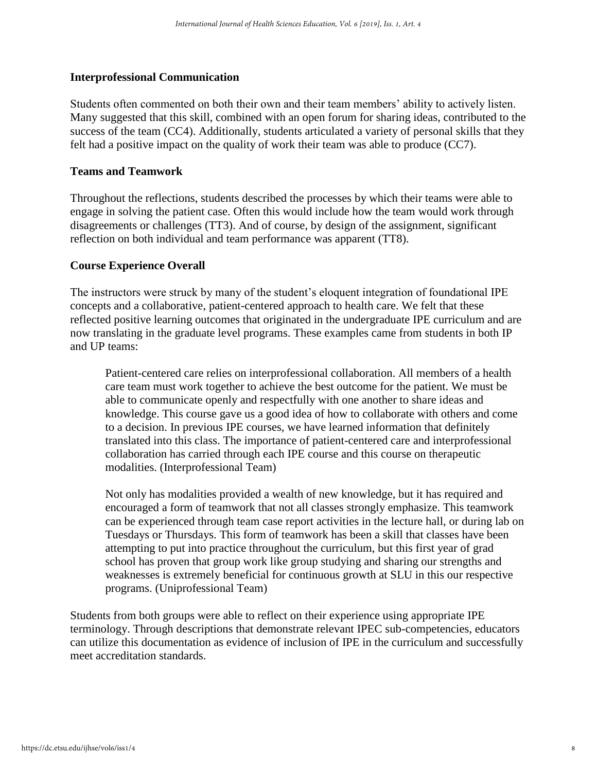## **Interprofessional Communication**

Students often commented on both their own and their team members' ability to actively listen. Many suggested that this skill, combined with an open forum for sharing ideas, contributed to the success of the team (CC4). Additionally, students articulated a variety of personal skills that they felt had a positive impact on the quality of work their team was able to produce (CC7).

## **Teams and Teamwork**

Throughout the reflections, students described the processes by which their teams were able to engage in solving the patient case. Often this would include how the team would work through disagreements or challenges (TT3). And of course, by design of the assignment, significant reflection on both individual and team performance was apparent (TT8).

## **Course Experience Overall**

The instructors were struck by many of the student's eloquent integration of foundational IPE concepts and a collaborative, patient-centered approach to health care. We felt that these reflected positive learning outcomes that originated in the undergraduate IPE curriculum and are now translating in the graduate level programs. These examples came from students in both IP and UP teams:

Patient-centered care relies on interprofessional collaboration. All members of a health care team must work together to achieve the best outcome for the patient. We must be able to communicate openly and respectfully with one another to share ideas and knowledge. This course gave us a good idea of how to collaborate with others and come to a decision. In previous IPE courses, we have learned information that definitely translated into this class. The importance of patient-centered care and interprofessional collaboration has carried through each IPE course and this course on therapeutic modalities. (Interprofessional Team)

Not only has modalities provided a wealth of new knowledge, but it has required and encouraged a form of teamwork that not all classes strongly emphasize. This teamwork can be experienced through team case report activities in the lecture hall, or during lab on Tuesdays or Thursdays. This form of teamwork has been a skill that classes have been attempting to put into practice throughout the curriculum, but this first year of grad school has proven that group work like group studying and sharing our strengths and weaknesses is extremely beneficial for continuous growth at SLU in this our respective programs. (Uniprofessional Team)

Students from both groups were able to reflect on their experience using appropriate IPE terminology. Through descriptions that demonstrate relevant IPEC sub-competencies, educators can utilize this documentation as evidence of inclusion of IPE in the curriculum and successfully meet accreditation standards.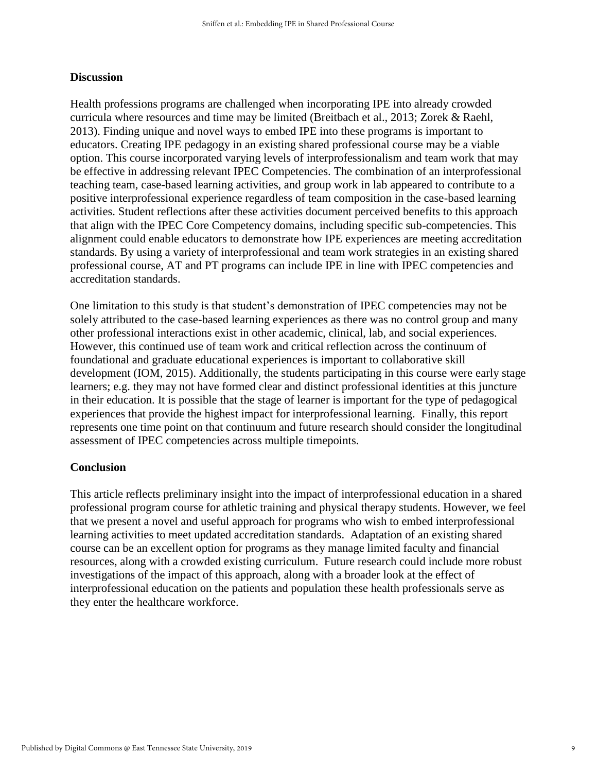#### **Discussion**

Health professions programs are challenged when incorporating IPE into already crowded curricula where resources and time may be limited (Breitbach et al., 2013; Zorek & Raehl, 2013). Finding unique and novel ways to embed IPE into these programs is important to educators. Creating IPE pedagogy in an existing shared professional course may be a viable option. This course incorporated varying levels of interprofessionalism and team work that may be effective in addressing relevant IPEC Competencies. The combination of an interprofessional teaching team, case-based learning activities, and group work in lab appeared to contribute to a positive interprofessional experience regardless of team composition in the case-based learning activities. Student reflections after these activities document perceived benefits to this approach that align with the IPEC Core Competency domains, including specific sub-competencies. This alignment could enable educators to demonstrate how IPE experiences are meeting accreditation standards. By using a variety of interprofessional and team work strategies in an existing shared professional course, AT and PT programs can include IPE in line with IPEC competencies and accreditation standards.

One limitation to this study is that student's demonstration of IPEC competencies may not be solely attributed to the case-based learning experiences as there was no control group and many other professional interactions exist in other academic, clinical, lab, and social experiences. However, this continued use of team work and critical reflection across the continuum of foundational and graduate educational experiences is important to collaborative skill development (IOM, 2015). Additionally, the students participating in this course were early stage learners; e.g. they may not have formed clear and distinct professional identities at this juncture in their education. It is possible that the stage of learner is important for the type of pedagogical experiences that provide the highest impact for interprofessional learning. Finally, this report represents one time point on that continuum and future research should consider the longitudinal assessment of IPEC competencies across multiple timepoints.

#### **Conclusion**

This article reflects preliminary insight into the impact of interprofessional education in a shared professional program course for athletic training and physical therapy students. However, we feel that we present a novel and useful approach for programs who wish to embed interprofessional learning activities to meet updated accreditation standards. Adaptation of an existing shared course can be an excellent option for programs as they manage limited faculty and financial resources, along with a crowded existing curriculum. Future research could include more robust investigations of the impact of this approach, along with a broader look at the effect of interprofessional education on the patients and population these health professionals serve as they enter the healthcare workforce.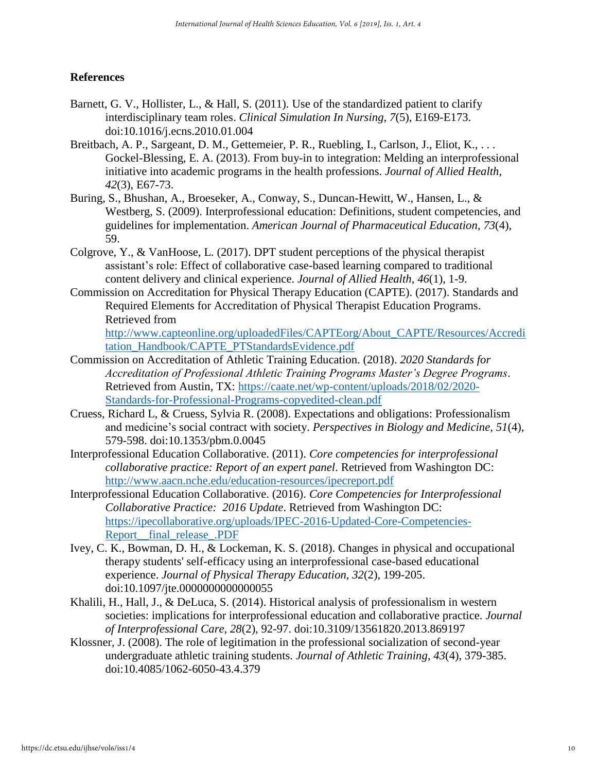## **References**

- Barnett, G. V., Hollister, L., & Hall, S. (2011). Use of the standardized patient to clarify interdisciplinary team roles. *Clinical Simulation In Nursing, 7*(5), E169-E173. doi:10.1016/j.ecns.2010.01.004
- Breitbach, A. P., Sargeant, D. M., Gettemeier, P. R., Ruebling, I., Carlson, J., Eliot, K., . . . Gockel-Blessing, E. A. (2013). From buy-in to integration: Melding an interprofessional initiative into academic programs in the health professions. *Journal of Allied Health, 42*(3), E67-73.
- Buring, S., Bhushan, A., Broeseker, A., Conway, S., Duncan-Hewitt, W., Hansen, L., & Westberg, S. (2009). Interprofessional education: Definitions, student competencies, and guidelines for implementation. *American Journal of Pharmaceutical Education*, *73*(4), 59.
- Colgrove, Y., & VanHoose, L. (2017). DPT student perceptions of the physical therapist assistant's role: Effect of collaborative case-based learning compared to traditional content delivery and clinical experience. *Journal of Allied Health*, *46*(1), 1-9.
- Commission on Accreditation for Physical Therapy Education (CAPTE). (2017). Standards and Required Elements for Accreditation of Physical Therapist Education Programs. Retrieved from

[http://www.capteonline.org/uploadedFiles/CAPTEorg/About\\_CAPTE/Resources/Accredi](http://www.capteonline.org/uploadedFiles/CAPTEorg/About_CAPTE/Resources/Accreditation_Handbook/CAPTE_PTStandardsEvidence.pdf) [tation\\_Handbook/CAPTE\\_PTStandardsEvidence.pdf](http://www.capteonline.org/uploadedFiles/CAPTEorg/About_CAPTE/Resources/Accreditation_Handbook/CAPTE_PTStandardsEvidence.pdf)

- Commission on Accreditation of Athletic Training Education. (2018). *2020 Standards for Accreditation of Professional Athletic Training Programs Master's Degree Programs*. Retrieved from Austin, TX: [https://caate.net/wp-content/uploads/2018/02/2020-](https://caate.net/wp-content/uploads/2018/02/2020-Standards-for-Professional-Programs-copyedited-clean.pdf) [Standards-for-Professional-Programs-copyedited-clean.pdf](https://caate.net/wp-content/uploads/2018/02/2020-Standards-for-Professional-Programs-copyedited-clean.pdf)
- Cruess, Richard L, & Cruess, Sylvia R. (2008). Expectations and obligations: Professionalism and medicine's social contract with society. *Perspectives in Biology and Medicine, 51*(4), 579-598. doi:10.1353/pbm.0.0045
- Interprofessional Education Collaborative. (2011). *Core competencies for interprofessional collaborative practice: Report of an expert panel*. Retrieved from Washington DC: <http://www.aacn.nche.edu/education-resources/ipecreport.pdf>
- Interprofessional Education Collaborative. (2016). *Core Competencies for Interprofessional Collaborative Practice: 2016 Update*. Retrieved from Washington DC: [https://ipecollaborative.org/uploads/IPEC-2016-Updated-Core-Competencies-](https://ipecollaborative.org/uploads/IPEC-2016-Updated-Core-Competencies-Report__final_release_.PDF)[Report\\_\\_final\\_release\\_.PDF](https://ipecollaborative.org/uploads/IPEC-2016-Updated-Core-Competencies-Report__final_release_.PDF)
- Ivey, C. K., Bowman, D. H., & Lockeman, K. S. (2018). Changes in physical and occupational therapy students' self-efficacy using an interprofessional case-based educational experience. *Journal of Physical Therapy Education, 32*(2), 199-205. doi:10.1097/jte.0000000000000055
- Khalili, H., Hall, J., & DeLuca, S. (2014). Historical analysis of professionalism in western societies: implications for interprofessional education and collaborative practice. *Journal of Interprofessional Care, 28*(2), 92-97. doi:10.3109/13561820.2013.869197
- Klossner, J. (2008). The role of legitimation in the professional socialization of second-year undergraduate athletic training students. *Journal of Athletic Training, 43*(4), 379-385. doi:10.4085/1062-6050-43.4.379